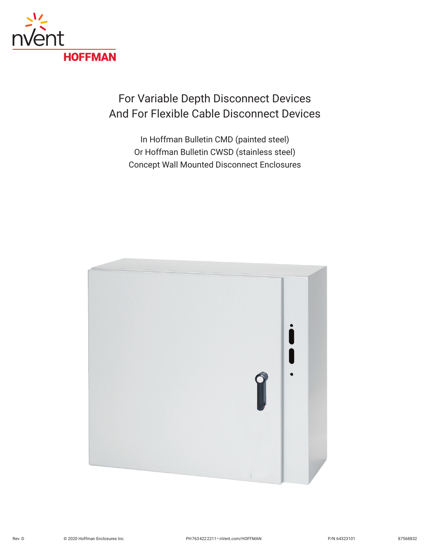

## For Variable Depth Disconnect Devices And For Flexible Cable Disconnect Devices

In Hoffman Bulletin CMD (painted steel) Or Hoffman Bulletin CWSD (stainless steel) Concept Wall Mounted Disconnect Enclosures

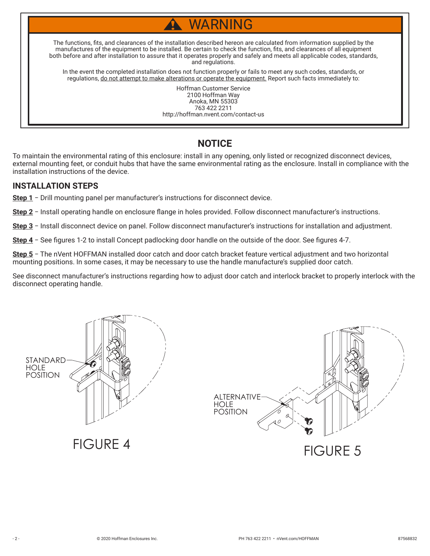# WARNING

The functions, fits, and clearances of the installation described hereon are calculated from information supplied by the manufactures of the equipment to be installed. Be certain to check the function, fits, and clearances of all equipment both before and after installation to assure that it operates properly and safely and meets all applicable codes, standards, and regulations.

In the event the completed installation does not function properly or fails to meet any such codes, standards, or regulations, do not attempt to make alterations or operate the equipment. Report such facts immediately to:

> Hoffman Customer Service 2100 Hoffman Way Anoka, MN 55303 763 422 2211 http://hoffman.nvent.com/contact-us

### **NOTICE**

To maintain the environmental rating of this enclosure: install in any opening, only listed or recognized disconnect devices, external mounting feet, or conduit hubs that have the same environmental rating as the enclosure. Install in compliance with the installation instructions of the device.

#### **INSTALLATION STEPS**

**Step 1** − Drill mounting panel per manufacturer's instructions for disconnect device.

**Step 2** − Install operating handle on enclosure flange in holes provided. Follow disconnect manufacturer's instructions.

**Step 3** − Install disconnect device on panel. Follow disconnect manufacturer's instructions for installation and adjustment.

**Step 4** − See figures 1-2 to install Concept padlocking door handle on the outside of the door. See figures 4-7.

**Step 5** − The nVent HOFFMAN installed door catch and door catch bracket feature vertical adjustment and two horizontal mounting positions. In some cases, it may be necessary to use the handle manufacture's supplied door catch.

See disconnect manufacturer's instructions regarding how to adjust door catch and interlock bracket to properly interlock with the disconnect operating handle.

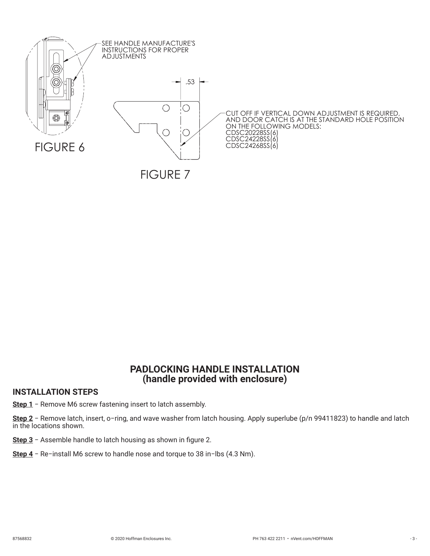

#### **PADLOCKING HANDLE INSTALLATION (handle provided with enclosure)**

#### **INSTALLATION STEPS**

**Step 1** − Remove M6 screw fastening insert to latch assembly.

**Step 2** − Remove latch, insert, o−ring, and wave washer from latch housing. Apply superlube (p/n 99411823) to handle and latch in the locations shown.

**Step 3** − Assemble handle to latch housing as shown in figure 2.

**Step 4** − Re−install M6 screw to handle nose and torque to 38 in−lbs (4.3 Nm).